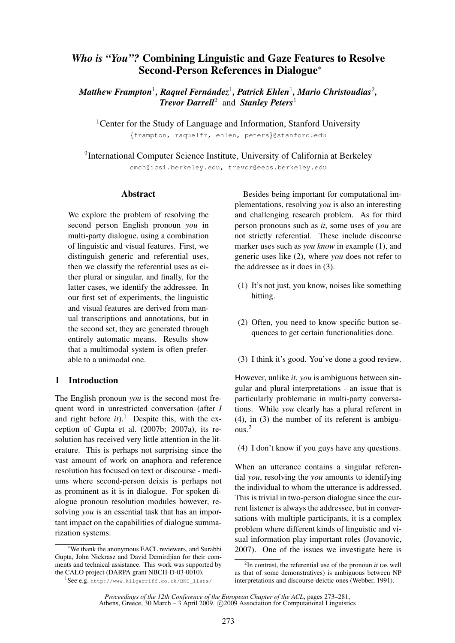# *Who is "You"?* Combining Linguistic and Gaze Features to Resolve Second-Person References in Dialogue<sup>∗</sup>

 $\bm{M}$ atthew Frampton $^1$ , Raquel Fernández $^1$ , Patrick Ehlen $^1$ , Mario Christoudias $^2$ , *Trevor Darrell*<sup>2</sup> and *Stanley Peters*<sup>1</sup>

<sup>1</sup> Center for the Study of Language and Information, Stanford University {frampton, raquelfr, ehlen, peters}@stanford.edu

<sup>2</sup>International Computer Science Institute, University of California at Berkeley cmch@icsi.berkeley.edu, trevor@eecs.berkeley.edu

# Abstract

We explore the problem of resolving the second person English pronoun *you* in multi-party dialogue, using a combination of linguistic and visual features. First, we distinguish generic and referential uses, then we classify the referential uses as either plural or singular, and finally, for the latter cases, we identify the addressee. In our first set of experiments, the linguistic and visual features are derived from manual transcriptions and annotations, but in the second set, they are generated through entirely automatic means. Results show that a multimodal system is often preferable to a unimodal one.

# 1 Introduction

The English pronoun *you* is the second most frequent word in unrestricted conversation (after *I* and right before  $it$ ).<sup>1</sup> Despite this, with the exception of Gupta et al. (2007b; 2007a), its resolution has received very little attention in the literature. This is perhaps not surprising since the vast amount of work on anaphora and reference resolution has focused on text or discourse - mediums where second-person deixis is perhaps not as prominent as it is in dialogue. For spoken dialogue pronoun resolution modules however, resolving *you* is an essential task that has an important impact on the capabilities of dialogue summarization systems.

Besides being important for computational implementations, resolving *you* is also an interesting and challenging research problem. As for third person pronouns such as *it*, some uses of *you* are not strictly referential. These include discourse marker uses such as *you know* in example (1), and generic uses like (2), where *you* does not refer to the addressee as it does in (3).

- (1) It's not just, you know, noises like something hitting.
- (2) Often, you need to know specific button sequences to get certain functionalities done.
- (3) I think it's good. You've done a good review.

However, unlike *it*, *you* is ambiguous between singular and plural interpretations - an issue that is particularly problematic in multi-party conversations. While *you* clearly has a plural referent in (4), in (3) the number of its referent is ambiguous.<sup>2</sup>

(4) I don't know if you guys have any questions.

When an utterance contains a singular referential *you*, resolving the *you* amounts to identifying the individual to whom the utterance is addressed. This is trivial in two-person dialogue since the current listener is always the addressee, but in conversations with multiple participants, it is a complex problem where different kinds of linguistic and visual information play important roles (Jovanovic, 2007). One of the issues we investigate here is

<sup>∗</sup>We thank the anonymous EACL reviewers, and Surabhi Gupta, John Niekrasz and David Demirdjian for their comments and technical assistance. This work was supported by the CALO project (DARPA grant NBCH-D-03-0010).

<sup>1</sup> See e.g. http://www.kilgarriff.co.uk/BNC\_lists/

<sup>2</sup> In contrast, the referential use of the pronoun *it* (as well as that of some demonstratives) is ambiguous between NP interpretations and discourse-deictic ones (Webber, 1991).

*Proceedings of the 12th Conference of the European Chapter of the ACL*, pages 273–281, Athens, Greece, 30 March – 3 April 2009. © 2009 Association for Computational Linguistics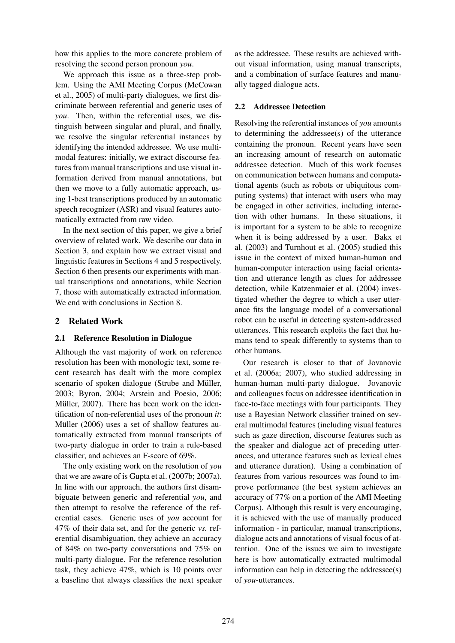how this applies to the more concrete problem of resolving the second person pronoun *you*.

We approach this issue as a three-step problem. Using the AMI Meeting Corpus (McCowan et al., 2005) of multi-party dialogues, we first discriminate between referential and generic uses of *you*. Then, within the referential uses, we distinguish between singular and plural, and finally, we resolve the singular referential instances by identifying the intended addressee. We use multimodal features: initially, we extract discourse features from manual transcriptions and use visual information derived from manual annotations, but then we move to a fully automatic approach, using 1-best transcriptions produced by an automatic speech recognizer (ASR) and visual features automatically extracted from raw video.

In the next section of this paper, we give a brief overview of related work. We describe our data in Section 3, and explain how we extract visual and linguistic features in Sections 4 and 5 respectively. Section 6 then presents our experiments with manual transcriptions and annotations, while Section 7, those with automatically extracted information. We end with conclusions in Section 8.

# 2 Related Work

# 2.1 Reference Resolution in Dialogue

Although the vast majority of work on reference resolution has been with monologic text, some recent research has dealt with the more complex scenario of spoken dialogue (Strube and Müller, 2003; Byron, 2004; Arstein and Poesio, 2006; Müller, 2007). There has been work on the identification of non-referential uses of the pronoun *it*: Müller (2006) uses a set of shallow features automatically extracted from manual transcripts of two-party dialogue in order to train a rule-based classifier, and achieves an F-score of 69%.

The only existing work on the resolution of *you* that we are aware of is Gupta et al. (2007b; 2007a). In line with our approach, the authors first disambiguate between generic and referential *you*, and then attempt to resolve the reference of the referential cases. Generic uses of *you* account for 47% of their data set, and for the generic *vs.* referential disambiguation, they achieve an accuracy of 84% on two-party conversations and 75% on multi-party dialogue. For the reference resolution task, they achieve 47%, which is 10 points over a baseline that always classifies the next speaker

as the addressee. These results are achieved without visual information, using manual transcripts, and a combination of surface features and manually tagged dialogue acts.

#### 2.2 Addressee Detection

Resolving the referential instances of *you* amounts to determining the addressee(s) of the utterance containing the pronoun. Recent years have seen an increasing amount of research on automatic addressee detection. Much of this work focuses on communication between humans and computational agents (such as robots or ubiquitous computing systems) that interact with users who may be engaged in other activities, including interaction with other humans. In these situations, it is important for a system to be able to recognize when it is being addressed by a user. Bakx et al. (2003) and Turnhout et al. (2005) studied this issue in the context of mixed human-human and human-computer interaction using facial orientation and utterance length as clues for addressee detection, while Katzenmaier et al. (2004) investigated whether the degree to which a user utterance fits the language model of a conversational robot can be useful in detecting system-addressed utterances. This research exploits the fact that humans tend to speak differently to systems than to other humans.

Our research is closer to that of Jovanovic et al. (2006a; 2007), who studied addressing in human-human multi-party dialogue. Jovanovic and colleagues focus on addressee identification in face-to-face meetings with four participants. They use a Bayesian Network classifier trained on several multimodal features (including visual features such as gaze direction, discourse features such as the speaker and dialogue act of preceding utterances, and utterance features such as lexical clues and utterance duration). Using a combination of features from various resources was found to improve performance (the best system achieves an accuracy of 77% on a portion of the AMI Meeting Corpus). Although this result is very encouraging, it is achieved with the use of manually produced information - in particular, manual transcriptions, dialogue acts and annotations of visual focus of attention. One of the issues we aim to investigate here is how automatically extracted multimodal information can help in detecting the addressee(s) of *you*-utterances.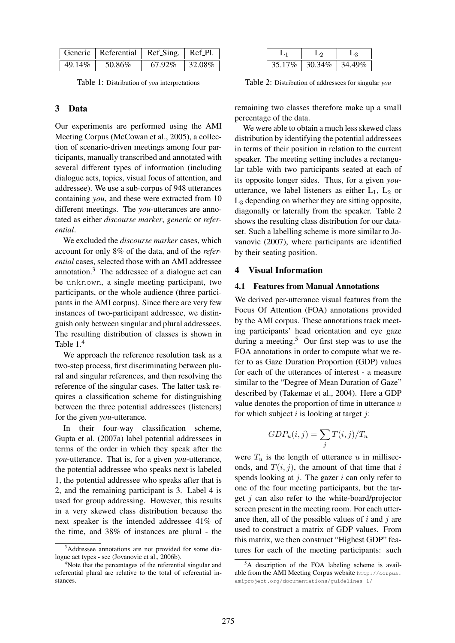|        | Generic   Referential $\parallel$ Ref_Sing. $\parallel$ Ref_Pl. |        |             |
|--------|-----------------------------------------------------------------|--------|-------------|
| 49.14% | 50.86%                                                          | 67.92% | $1,32.08\%$ |

Table 1: Distribution of *you* interpretations

#### 3 Data

Our experiments are performed using the AMI Meeting Corpus (McCowan et al., 2005), a collection of scenario-driven meetings among four participants, manually transcribed and annotated with several different types of information (including dialogue acts, topics, visual focus of attention, and addressee). We use a sub-corpus of 948 utterances containing *you*, and these were extracted from 10 different meetings. The *you*-utterances are annotated as either *discourse marker*, *generic* or *referential*.

We excluded the *discourse marker* cases, which account for only 8% of the data, and of the *referential* cases, selected those with an AMI addressee annotation.<sup>3</sup> The addressee of a dialogue act can be unknown, a single meeting participant, two participants, or the whole audience (three participants in the AMI corpus). Since there are very few instances of two-participant addressee, we distinguish only between singular and plural addressees. The resulting distribution of classes is shown in Table 1.<sup>4</sup>

We approach the reference resolution task as a two-step process, first discriminating between plural and singular references, and then resolving the reference of the singular cases. The latter task requires a classification scheme for distinguishing between the three potential addressees (listeners) for the given *you*-utterance.

In their four-way classification scheme, Gupta et al. (2007a) label potential addressees in terms of the order in which they speak after the *you*-utterance. That is, for a given *you*-utterance, the potential addressee who speaks next is labeled 1, the potential addressee who speaks after that is 2, and the remaining participant is 3. Label 4 is used for group addressing. However, this results in a very skewed class distribution because the next speaker is the intended addressee 41% of the time, and 38% of instances are plural - the

| 35.17% | 30.34% | - 14.49* |  |
|--------|--------|----------|--|

Table 2: Distribution of addressees for singular *you*

remaining two classes therefore make up a small percentage of the data.

We were able to obtain a much less skewed class distribution by identifying the potential addressees in terms of their position in relation to the current speaker. The meeting setting includes a rectangular table with two participants seated at each of its opposite longer sides. Thus, for a given *you*utterance, we label listeners as either  $L_1$ ,  $L_2$  or  $L_3$  depending on whether they are sitting opposite, diagonally or laterally from the speaker. Table 2 shows the resulting class distribution for our dataset. Such a labelling scheme is more similar to Jovanovic (2007), where participants are identified by their seating position.

#### 4 Visual Information

#### 4.1 Features from Manual Annotations

We derived per-utterance visual features from the Focus Of Attention (FOA) annotations provided by the AMI corpus. These annotations track meeting participants' head orientation and eye gaze during a meeting.<sup>5</sup> Our first step was to use the FOA annotations in order to compute what we refer to as Gaze Duration Proportion (GDP) values for each of the utterances of interest - a measure similar to the "Degree of Mean Duration of Gaze" described by (Takemae et al., 2004). Here a GDP value denotes the proportion of time in utterance  $u$ for which subject  $i$  is looking at target  $j$ :

$$
GDP_u(i,j) = \sum_j T(i,j)/T_u
$$

were  $T_u$  is the length of utterance u in milliseconds, and  $T(i, j)$ , the amount of that time that i spends looking at j. The gazer  $i$  can only refer to one of the four meeting participants, but the target  $j$  can also refer to the white-board/projector screen present in the meeting room. For each utterance then, all of the possible values of  $i$  and  $j$  are used to construct a matrix of GDP values. From this matrix, we then construct "Highest GDP" features for each of the meeting participants: such

<sup>&</sup>lt;sup>3</sup>Addressee annotations are not provided for some dialogue act types - see (Jovanovic et al., 2006b).

<sup>&</sup>lt;sup>4</sup>Note that the percentages of the referential singular and referential plural are relative to the total of referential instances.

<sup>&</sup>lt;sup>5</sup>A description of the FOA labeling scheme is available from the AMI Meeting Corpus website http://corpus. amiproject.org/documentations/guidelines-1/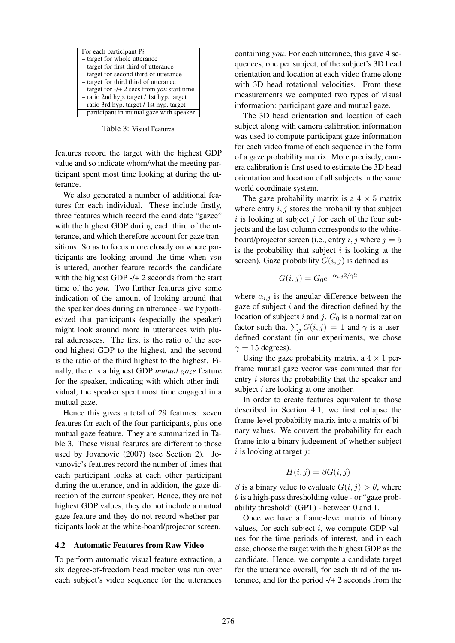| For each participant Pi                          |
|--------------------------------------------------|
| - target for whole utterance                     |
| - target for first third of utterance            |
| - target for second third of utterance           |
| - target for third third of utterance            |
| $-$ target for $-$ /+ 2 secs from you start time |
| - ratio 2nd hyp. target / 1st hyp. target        |
| - ratio 3rd hyp. target / 1st hyp. target        |
| - participant in mutual gaze with speaker        |

Table 3: Visual Features

features record the target with the highest GDP value and so indicate whom/what the meeting participant spent most time looking at during the utterance.

We also generated a number of additional features for each individual. These include firstly, three features which record the candidate "gazee" with the highest GDP during each third of the utterance, and which therefore account for gaze transitions. So as to focus more closely on where participants are looking around the time when *you* is uttered, another feature records the candidate with the highest GDP -/+ 2 seconds from the start time of the *you*. Two further features give some indication of the amount of looking around that the speaker does during an utterance - we hypothesized that participants (especially the speaker) might look around more in utterances with plural addressees. The first is the ratio of the second highest GDP to the highest, and the second is the ratio of the third highest to the highest. Finally, there is a highest GDP *mutual gaze* feature for the speaker, indicating with which other individual, the speaker spent most time engaged in a mutual gaze.

Hence this gives a total of 29 features: seven features for each of the four participants, plus one mutual gaze feature. They are summarized in Table 3. These visual features are different to those used by Jovanovic (2007) (see Section 2). Jovanovic's features record the number of times that each participant looks at each other participant during the utterance, and in addition, the gaze direction of the current speaker. Hence, they are not highest GDP values, they do not include a mutual gaze feature and they do not record whether participants look at the white-board/projector screen.

### 4.2 Automatic Features from Raw Video

To perform automatic visual feature extraction, a six degree-of-freedom head tracker was run over each subject's video sequence for the utterances containing *you*. For each utterance, this gave 4 sequences, one per subject, of the subject's 3D head orientation and location at each video frame along with 3D head rotational velocities. From these measurements we computed two types of visual information: participant gaze and mutual gaze.

The 3D head orientation and location of each subject along with camera calibration information was used to compute participant gaze information for each video frame of each sequence in the form of a gaze probability matrix. More precisely, camera calibration is first used to estimate the 3D head orientation and location of all subjects in the same world coordinate system.

The gaze probability matrix is a  $4 \times 5$  matrix where entry  $i, j$  stores the probability that subject  $i$  is looking at subject  $j$  for each of the four subjects and the last column corresponds to the whiteboard/projector screen (i.e., entry i, j where  $j = 5$ is the probability that subject  $i$  is looking at the screen). Gaze probability  $G(i, j)$  is defined as

$$
G(i,j) = G_0 e^{-\alpha_{i,j} 2/\gamma 2}
$$

where  $\alpha_{i,j}$  is the angular difference between the gaze of subject  $i$  and the direction defined by the location of subjects i and j.  $G_0$  is a normalization factor such that  $\sum_j G(i, j) = 1$  and  $\gamma$  is a userdefined constant (in our experiments, we chose  $\gamma = 15$  degrees).

Using the gaze probability matrix, a  $4 \times 1$  perframe mutual gaze vector was computed that for entry i stores the probability that the speaker and subject *i* are looking at one another.

In order to create features equivalent to those described in Section 4.1, we first collapse the frame-level probability matrix into a matrix of binary values. We convert the probability for each frame into a binary judgement of whether subject  $i$  is looking at target  $j$ :

$$
H(i,j) = \beta G(i,j)
$$

 $\beta$  is a binary value to evaluate  $G(i, j) > \theta$ , where  $\theta$  is a high-pass thresholding value - or "gaze probability threshold" (GPT) - between 0 and 1.

Once we have a frame-level matrix of binary values, for each subject  $i$ , we compute GDP values for the time periods of interest, and in each case, choose the target with the highest GDP as the candidate. Hence, we compute a candidate target for the utterance overall, for each third of the utterance, and for the period -/+ 2 seconds from the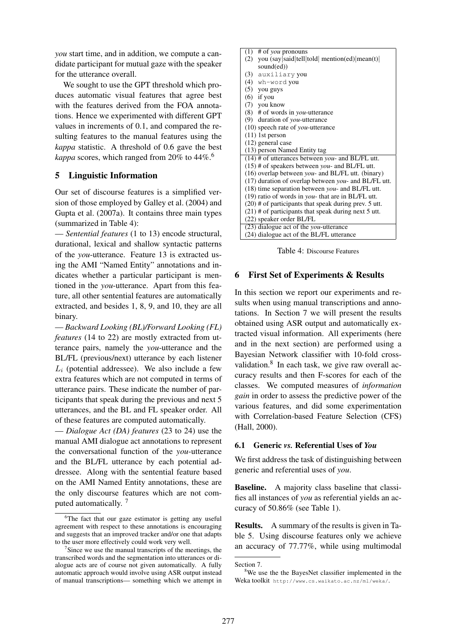*you* start time, and in addition, we compute a candidate participant for mutual gaze with the speaker for the utterance overall.

We sought to use the GPT threshold which produces automatic visual features that agree best with the features derived from the FOA annotations. Hence we experimented with different GPT values in increments of 0.1, and compared the resulting features to the manual features using the *kappa* statistic. A threshold of 0.6 gave the best *kappa* scores, which ranged from 20% to 44%.<sup>6</sup>

# 5 Linguistic Information

Our set of discourse features is a simplified version of those employed by Galley et al. (2004) and Gupta et al. (2007a). It contains three main types (summarized in Table 4):

— *Sentential features* (1 to 13) encode structural, durational, lexical and shallow syntactic patterns of the *you*-utterance. Feature 13 is extracted using the AMI "Named Entity" annotations and indicates whether a particular participant is mentioned in the *you*-utterance. Apart from this feature, all other sentential features are automatically extracted, and besides 1, 8, 9, and 10, they are all binary.

— *Backward Looking (BL)/Forward Looking (FL) features* (14 to 22) are mostly extracted from utterance pairs, namely the *you*-utterance and the BL/FL (previous/next) utterance by each listener  $L_i$  (potential addressee). We also include a few extra features which are not computed in terms of utterance pairs. These indicate the number of participants that speak during the previous and next 5 utterances, and the BL and FL speaker order. All of these features are computed automatically.

— *Dialogue Act (DA) features* (23 to 24) use the manual AMI dialogue act annotations to represent the conversational function of the *you*-utterance and the BL/FL utterance by each potential addressee. Along with the sentential feature based on the AMI Named Entity annotations, these are the only discourse features which are not computed automatically. <sup>7</sup>

| # of you pronouns<br>(1)                                        |
|-----------------------------------------------------------------|
| you (say   said   tell   told   mention (ed)   mean(t)  <br>(2) |
| sound(ed))                                                      |
| $(3)$ auxiliary you                                             |
| $(4)$ wh-word you                                               |
| $(5)$ you guys                                                  |
| $(6)$ if you                                                    |
| (7) you know                                                    |
| $(8)$ # of words in you-utterance                               |
| $(9)$ duration of you-utterance                                 |
| $(10)$ speech rate of you-utterance                             |
| $(11)$ 1st person                                               |
| (12) general case                                               |
| (13) person Named Entity tag                                    |
| $(14)$ # of utterances between you- and BL/FL utt.              |
| $(15)$ # of speakers between you- and BL/FL utt.                |
| $(16)$ overlap between you- and BL/FL utt. (binary)             |
| $(17)$ duration of overlap between you- and BL/FL utt.          |
| $(18)$ time separation between you- and BL/FL utt.              |
| $(19)$ ratio of words in you- that are in BL/FL utt.            |
| $(20)$ # of participants that speak during prev. 5 utt.         |
| $(21)$ # of participants that speak during next 5 utt.          |
| (22) speaker order BL/FL                                        |
| $(23)$ dialogue act of the <i>you</i> -utterance                |
| (24) dialogue act of the BL/FL utterance                        |

Table 4: Discourse Features

# 6 First Set of Experiments & Results

In this section we report our experiments and results when using manual transcriptions and annotations. In Section 7 we will present the results obtained using ASR output and automatically extracted visual information. All experiments (here and in the next section) are performed using a Bayesian Network classifier with 10-fold crossvalidation.<sup>8</sup> In each task, we give raw overall accuracy results and then F-scores for each of the classes. We computed measures of *information gain* in order to assess the predictive power of the various features, and did some experimentation with Correlation-based Feature Selection (CFS) (Hall, 2000).

# 6.1 Generic *vs.* Referential Uses of *You*

We first address the task of distinguishing between generic and referential uses of *you*.

Baseline. A majority class baseline that classifies all instances of *you* as referential yields an accuracy of 50.86% (see Table 1).

Results. A summary of the results is given in Table 5. Using discourse features only we achieve an accuracy of 77.77%, while using multimodal

 ${}^{6}$ The fact that our gaze estimator is getting any useful agreement with respect to these annotations is encouraging and suggests that an improved tracker and/or one that adapts to the user more effectively could work very well.

<sup>&</sup>lt;sup>7</sup>Since we use the manual transcripts of the meetings, the transcribed words and the segmentation into utterances or dialogue acts are of course not given automatically. A fully automatic approach would involve using ASR output instead of manual transcriptions— something which we attempt in

Section 7.

<sup>&</sup>lt;sup>8</sup>We use the the BayesNet classifier implemented in the Weka toolkit http://www.cs.waikato.ac.nz/ml/weka/.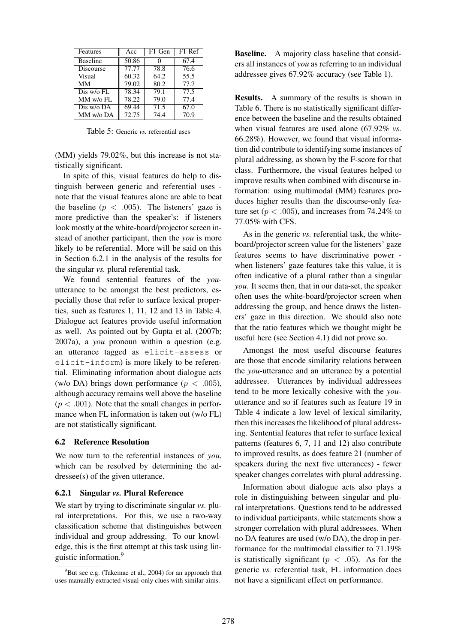| Features         | Acc   | F1-Gen | $F1-Ref$ |
|------------------|-------|--------|----------|
| <b>Baseline</b>  | 50.86 |        | 67.4     |
| <b>Discourse</b> | 77.77 | 78.8   | 76.6     |
| Visual           | 60.32 | 64.2   | 55.5     |
| <b>MM</b>        | 79.02 | 80.2   | 77.7     |
| Dis w/o FL       | 78.34 | 79.1   | 77.5     |
| MM w/o FL        | 78.22 | 79.0   | 77.4     |
| Dis w/o DA       | 69.44 | 71.5   | 67.0     |
| MM w/o DA        | 72.75 | 74.4   | 70.9     |

Table 5: Generic *vs.* referential uses

(MM) yields 79.02%, but this increase is not statistically significant.

In spite of this, visual features do help to distinguish between generic and referential uses note that the visual features alone are able to beat the baseline  $(p < .005)$ . The listeners' gaze is more predictive than the speaker's: if listeners look mostly at the white-board/projector screen instead of another participant, then the *you* is more likely to be referential. More will be said on this in Section 6.2.1 in the analysis of the results for the singular *vs.* plural referential task.

We found sentential features of the *you*utterance to be amongst the best predictors, especially those that refer to surface lexical properties, such as features 1, 11, 12 and 13 in Table 4. Dialogue act features provide useful information as well. As pointed out by Gupta et al. (2007b; 2007a), a *you* pronoun within a question (e.g. an utterance tagged as elicit-assess or elicit-inform) is more likely to be referential. Eliminating information about dialogue acts (w/o DA) brings down performance ( $p < .005$ ), although accuracy remains well above the baseline  $(p < .001)$ . Note that the small changes in performance when FL information is taken out (w/o FL) are not statistically significant.

#### 6.2 Reference Resolution

We now turn to the referential instances of *you*, which can be resolved by determining the addressee(s) of the given utterance.

### 6.2.1 Singular *vs.* Plural Reference

We start by trying to discriminate singular *vs.* plural interpretations. For this, we use a two-way classification scheme that distinguishes between individual and group addressing. To our knowledge, this is the first attempt at this task using linguistic information.<sup>9</sup>

Baseline. A majority class baseline that considers all instances of *you* as referring to an individual addressee gives 67.92% accuracy (see Table 1).

Results. A summary of the results is shown in Table 6. There is no statistically significant difference between the baseline and the results obtained when visual features are used alone (67.92% *vs.* 66.28%). However, we found that visual information did contribute to identifying some instances of plural addressing, as shown by the F-score for that class. Furthermore, the visual features helped to improve results when combined with discourse information: using multimodal (MM) features produces higher results than the discourse-only feature set ( $p < .005$ ), and increases from 74.24% to 77.05% with CFS.

As in the generic *vs.* referential task, the whiteboard/projector screen value for the listeners' gaze features seems to have discriminative power when listeners' gaze features take this value, it is often indicative of a plural rather than a singular *you*. It seems then, that in our data-set, the speaker often uses the white-board/projector screen when addressing the group, and hence draws the listeners' gaze in this direction. We should also note that the ratio features which we thought might be useful here (see Section 4.1) did not prove so.

Amongst the most useful discourse features are those that encode similarity relations between the *you*-utterance and an utterance by a potential addressee. Utterances by individual addressees tend to be more lexically cohesive with the *you*utterance and so if features such as feature 19 in Table 4 indicate a low level of lexical similarity, then this increases the likelihood of plural addressing. Sentential features that refer to surface lexical patterns (features 6, 7, 11 and 12) also contribute to improved results, as does feature 21 (number of speakers during the next five utterances) - fewer speaker changes correlates with plural addressing.

Information about dialogue acts also plays a role in distinguishing between singular and plural interpretations. Questions tend to be addressed to individual participants, while statements show a stronger correlation with plural addressees. When no DA features are used (w/o DA), the drop in performance for the multimodal classifier to 71.19% is statistically significant ( $p < .05$ ). As for the generic *vs.* referential task, FL information does not have a significant effect on performance.

 $^{9}$ But see e.g. (Takemae et al., 2004) for an approach that uses manually extracted visual-only clues with similar aims.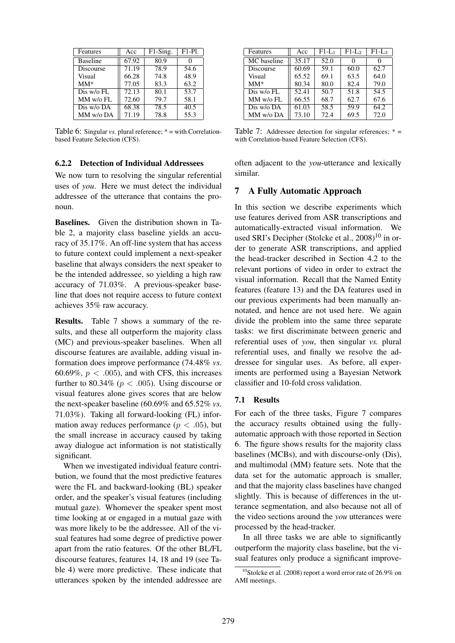| Features        | Acc   | $F1-Sing.$ | $F1-P1$ . |  |
|-----------------|-------|------------|-----------|--|
| <b>Baseline</b> | 67.92 | 80.9       |           |  |
| Discourse       | 71.19 | 78.9       | 54.6      |  |
| Visual          | 66.28 | 74.8       | 48.9      |  |
| $MM^*$          | 77.05 | 83.3       | 63.2      |  |
| Dis w/o FL      | 72.13 | 80.1       | 53.7      |  |
| MM w/o FL       | 72.60 | 79.7       | 58.1      |  |
| Dis w/o DA      | 68.38 | 78.5       | 40.5      |  |
| MM w/o DA       | 71.19 | 78.8       | 55.3      |  |

Table 6: Singular *vs.* plural reference; \* = with Correlationbased Feature Selection (CFS).

### 6.2.2 Detection of Individual Addressees

We now turn to resolving the singular referential uses of *you*. Here we must detect the individual addressee of the utterance that contains the pronoun.

Baselines. Given the distribution shown in Table 2, a majority class baseline yields an accuracy of 35.17%. An off-line system that has access to future context could implement a next-speaker baseline that always considers the next speaker to be the intended addressee, so yielding a high raw accuracy of 71.03%. A previous-speaker baseline that does not require access to future context achieves 35% raw accuracy.

Results. Table 7 shows a summary of the results, and these all outperform the majority class (MC) and previous-speaker baselines. When all discourse features are available, adding visual information does improve performance (74.48% *vs.* 60.69%,  $p < .005$ ), and with CFS, this increases further to 80.34% ( $p < .005$ ). Using discourse or visual features alone gives scores that are below the next-speaker baseline (60.69% and 65.52% *vs.* 71.03%). Taking all forward-looking (FL) information away reduces performance ( $p < .05$ ), but the small increase in accuracy caused by taking away dialogue act information is not statistically significant.

When we investigated individual feature contribution, we found that the most predictive features were the FL and backward-looking (BL) speaker order, and the speaker's visual features (including mutual gaze). Whomever the speaker spent most time looking at or engaged in a mutual gaze with was more likely to be the addressee. All of the visual features had some degree of predictive power apart from the ratio features. Of the other BL/FL discourse features, features 14, 18 and 19 (see Table 4) were more predictive. These indicate that utterances spoken by the intended addressee are

| Features    | Acc   | $F1-L_1$ | $F1-L2$ | $F1-L_3$ |
|-------------|-------|----------|---------|----------|
| MC baseline | 35.17 | 52.0     |         |          |
| Discourse   | 60.69 | 59.1     | 60.0    | 62.7     |
| Visual      | 65.52 | 69.1     | 63.5    | 64.0     |
| $MM^*$      | 80.34 | 80.0     | 82.4    | 79.0     |
| Dis w/o FL  | 52.41 | 50.7     | 51.8    | 54.5     |
| MM w/o FL   | 66.55 | 68.7     | 62.7    | 67.6     |
| Dis w/o DA  | 61.03 | 58.5     | 59.9    | 64.2     |
| MM w/o DA   | 73.10 | 72.4     | 69.5    | 72.0     |

Table 7: Addressee detection for singular references; \* = with Correlation-based Feature Selection (CFS).

often adjacent to the *you*-utterance and lexically similar.

# 7 A Fully Automatic Approach

In this section we describe experiments which use features derived from ASR transcriptions and automatically-extracted visual information. We used SRI's Decipher (Stolcke et al.,  $2008$ )<sup>10</sup> in order to generate ASR transcriptions, and applied the head-tracker described in Section 4.2 to the relevant portions of video in order to extract the visual information. Recall that the Named Entity features (feature 13) and the DA features used in our previous experiments had been manually annotated, and hence are not used here. We again divide the problem into the same three separate tasks: we first discriminate between generic and referential uses of *you*, then singular *vs.* plural referential uses, and finally we resolve the addressee for singular uses. As before, all experiments are performed using a Bayesian Network classifier and 10-fold cross validation.

# 7.1 Results

For each of the three tasks, Figure 7 compares the accuracy results obtained using the fullyautomatic approach with those reported in Section 6. The figure shows results for the majority class baselines (MCBs), and with discourse-only (Dis), and multimodal (MM) feature sets. Note that the data set for the automatic approach is smaller, and that the majority class baselines have changed slightly. This is because of differences in the utterance segmentation, and also because not all of the video sections around the *you* utterances were processed by the head-tracker.

In all three tasks we are able to significantly outperform the majority class baseline, but the visual features only produce a significant improve-

<sup>&</sup>lt;sup>10</sup>Stolcke et al. (2008) report a word error rate of 26.9% on AMI meetings.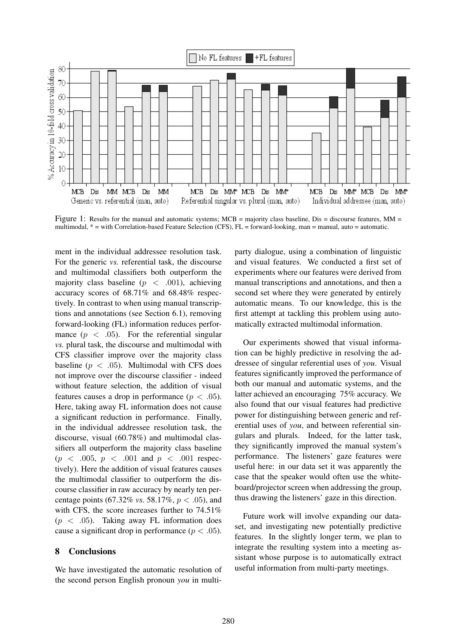

Figure 1: Results for the manual and automatic systems; MCB = majority class baseline, Dis = discourse features, MM = multimodal, \* = with Correlation-based Feature Selection (CFS), FL = forward-looking, man = manual, auto = automatic.

ment in the individual addressee resolution task. For the generic *vs.* referential task, the discourse and multimodal classifiers both outperform the majority class baseline ( $p < .001$ ), achieving accuracy scores of 68.71% and 68.48% respectively. In contrast to when using manual transcriptions and annotations (see Section 6.1), removing forward-looking (FL) information reduces performance  $(p < .05)$ . For the referential singular *vs.* plural task, the discourse and multimodal with CFS classifier improve over the majority class baseline ( $p < .05$ ). Multimodal with CFS does not improve over the discourse classifier - indeed without feature selection, the addition of visual features causes a drop in performance ( $p < .05$ ). Here, taking away FL information does not cause a significant reduction in performance. Finally, in the individual addressee resolution task, the discourse, visual (60.78%) and multimodal classifiers all outperform the majority class baseline  $(p \lt 0.005, p \lt 0.001 \text{ and } p \lt 0.001 \text{ respectively.}$ tively). Here the addition of visual features causes the multimodal classifier to outperform the discourse classifier in raw accuracy by nearly ten percentage points (67.32% *vs.* 58.17%,  $p < .05$ ), and with CFS, the score increases further to 74.51%  $(p < .05)$ . Taking away FL information does cause a significant drop in performance ( $p < .05$ ).

# 8 Conclusions

We have investigated the automatic resolution of the second person English pronoun *you* in multi-

party dialogue, using a combination of linguistic and visual features. We conducted a first set of experiments where our features were derived from manual transcriptions and annotations, and then a second set where they were generated by entirely automatic means. To our knowledge, this is the first attempt at tackling this problem using automatically extracted multimodal information.

Our experiments showed that visual information can be highly predictive in resolving the addressee of singular referential uses of *you*. Visual features significantly improved the performance of both our manual and automatic systems, and the latter achieved an encouraging 75% accuracy. We also found that our visual features had predictive power for distinguishing between generic and referential uses of *you*, and between referential singulars and plurals. Indeed, for the latter task, they significantly improved the manual system's performance. The listeners' gaze features were useful here: in our data set it was apparently the case that the speaker would often use the whiteboard/projector screen when addressing the group, thus drawing the listeners' gaze in this direction.

Future work will involve expanding our dataset, and investigating new potentially predictive features. In the slightly longer term, we plan to integrate the resulting system into a meeting assistant whose purpose is to automatically extract useful information from multi-party meetings.